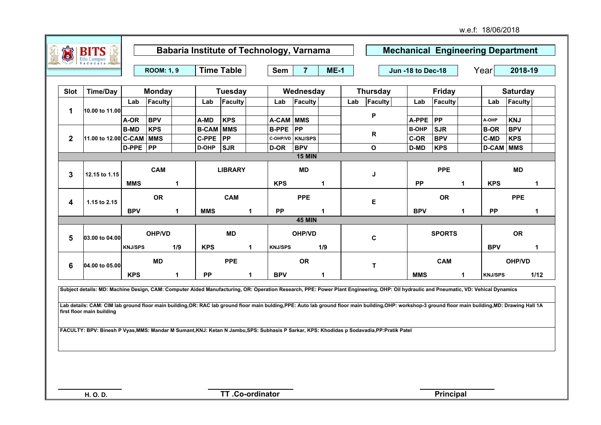|                     |                      |                | <b>ROOM: 1, 9</b> |     |                  | <b>Time Table</b> |   | Sem            | $\overline{7}$   | $ME-1$ |     |                 | Jun -18 to Dec-18 |               |    | Year             | 2018-19         |      |
|---------------------|----------------------|----------------|-------------------|-----|------------------|-------------------|---|----------------|------------------|--------|-----|-----------------|-------------------|---------------|----|------------------|-----------------|------|
| Slot                | <b>Time/Day</b>      |                | <b>Monday</b>     |     |                  | <b>Tuesday</b>    |   |                | Wednesday        |        |     | <b>Thursday</b> |                   | <b>Friday</b> |    |                  | <b>Saturday</b> |      |
|                     |                      | Lab            | Faculty           |     | Lab              | Faculty           |   | Lab            | Faculty          |        | Lab | Faculty         | Lab               | Faculty       |    | Lab              | Faculty         |      |
| 1                   | 10.00 to 11.00       |                |                   |     |                  |                   |   |                |                  |        |     |                 |                   |               |    |                  |                 |      |
|                     |                      | A-OR           | <b>BPV</b>        |     | A-MD             | <b>KPS</b>        |   | A-CAM MMS      |                  |        |     | Ρ               | A-PPE             | <b>PP</b>     |    | A-OHP            | <b>KNJ</b>      |      |
|                     |                      | <b>B-MD</b>    | <b>KPS</b>        |     | <b>B-CAM MMS</b> |                   |   | <b>B-PPE</b>   | <b>PP</b>        |        |     | ${\sf R}$       | <b>B-OHP</b>      | <b>SJR</b>    |    | <b>B-OR</b>      | <b>BPV</b>      |      |
| $\mathbf{2}$        | 11.00 to 12.00 C-CAM |                | <b>MMS</b>        |     | <b>C-PPE</b>     | PP                |   |                | C-OHP/VD KNJ/SPS |        |     |                 | C-OR              | <b>BPV</b>    |    | <b>C-MD</b>      | <b>KPS</b>      |      |
|                     |                      | $D-PPE$  PP    |                   |     | D-OHP            | <b>SJR</b>        |   | D-OR           | <b>BPV</b>       |        |     | O               | D-MD              | <b>KPS</b>    |    | <b>D-CAM</b> MMS |                 |      |
|                     |                      |                |                   |     |                  |                   |   |                | <b>15 MIN</b>    |        |     |                 |                   |               |    |                  |                 |      |
| 3                   | 12.15 to 1.15        |                | <b>CAM</b>        |     |                  | <b>LIBRARY</b>    |   |                | <b>MD</b>        |        |     | J               |                   | <b>PPE</b>    |    |                  | <b>MD</b>       |      |
|                     |                      | <b>MMS</b>     |                   | -1  |                  |                   |   | <b>KPS</b>     |                  | 1      |     |                 | <b>PP</b>         |               | 1  | <b>KPS</b>       |                 | -1   |
| 4                   | 1.15 to 2.15         |                | <b>OR</b>         |     |                  | <b>CAM</b>        |   |                | <b>PPE</b>       |        |     | Е               |                   | <b>OR</b>     |    |                  | <b>PPE</b>      |      |
|                     |                      | <b>BPV</b>     |                   | 1   | <b>MMS</b>       |                   | 1 | <b>PP</b>      |                  | 1      |     |                 | <b>BPV</b>        |               | 1. | <b>PP</b>        |                 | -1   |
|                     |                      |                |                   |     |                  |                   |   |                | <b>45 MIN</b>    |        |     |                 |                   |               |    |                  |                 |      |
| 5                   | 03.00 to 04.00       |                | <b>OHP/VD</b>     |     |                  | MD                |   |                | <b>OHP/VD</b>    |        |     | C               |                   | <b>SPORTS</b> |    |                  | <b>OR</b>       |      |
|                     |                      | <b>KNJ/SPS</b> |                   | 1/9 | <b>KPS</b>       |                   | 1 | <b>KNJ/SPS</b> |                  | 1/9    |     |                 |                   |               |    | <b>BPV</b>       |                 | -1   |
| 6<br>04.00 to 05.00 |                      |                | <b>MD</b>         |     |                  | <b>PPE</b>        |   |                | <b>OR</b>        |        |     | $\mathbf{T}$    |                   | <b>CAM</b>    |    |                  | <b>OHP/VD</b>   |      |
|                     |                      | <b>KPS</b>     |                   | 1   | <b>PP</b>        |                   | 1 | <b>BPV</b>     |                  | 1      |     |                 | <b>MMS</b>        |               | 1  | <b>KNJ/SPS</b>   |                 | 1/12 |

**FACULTY: BPV: Binesh P Vyas,MMS: Mandar M Sumant,KNJ: Ketan N Jambu,SPS: Subhasis P Sarkar, KPS: Khodidas p Sodavadia,PP:Pratik Patel**

**first floor main building**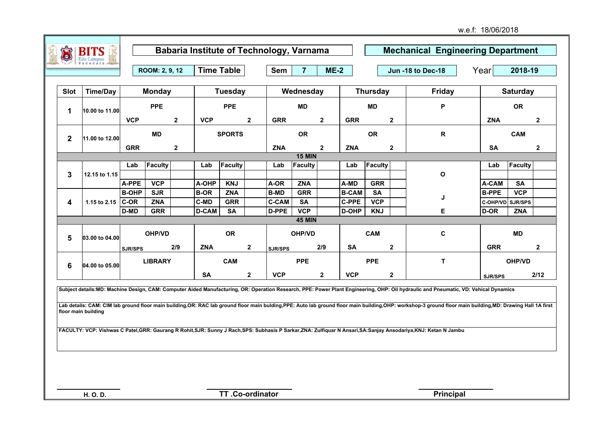w.e.f: 18/06/2018

|              |                     |                      | ROOM: 2, 9, 12           |                  | <b>Time Table</b>          |                          |                | <b>Sem</b>                  | $\overline{7}$          | $ME-2$       |                              |                         |                         | <b>Jun -18 to Dec-18</b>                                                                                                                                                                                                                                                                                                                                                                                                                                                                                                                                                  | Year                             | 2018-19         |              |
|--------------|---------------------|----------------------|--------------------------|------------------|----------------------------|--------------------------|----------------|-----------------------------|-------------------------|--------------|------------------------------|-------------------------|-------------------------|---------------------------------------------------------------------------------------------------------------------------------------------------------------------------------------------------------------------------------------------------------------------------------------------------------------------------------------------------------------------------------------------------------------------------------------------------------------------------------------------------------------------------------------------------------------------------|----------------------------------|-----------------|--------------|
| Slot         | <b>Time/Day</b>     |                      | <b>Monday</b>            |                  |                            | <b>Tuesday</b>           |                |                             | Wednesday               |              |                              | <b>Thursday</b>         |                         | Friday                                                                                                                                                                                                                                                                                                                                                                                                                                                                                                                                                                    |                                  | <b>Saturday</b> |              |
| $\mathbf 1$  | 10.00 to 11.00      |                      | <b>PPE</b>               |                  |                            | <b>PPE</b>               |                |                             | <b>MD</b>               |              |                              | <b>MD</b>               |                         | P                                                                                                                                                                                                                                                                                                                                                                                                                                                                                                                                                                         |                                  | <b>OR</b>       |              |
|              |                     | <b>VCP</b>           |                          | $\mathbf{2}$     | <b>VCP</b>                 |                          | $\overline{2}$ | <b>GRR</b>                  |                         | $\mathbf{2}$ | <b>GRR</b>                   |                         | $\mathbf 2$             |                                                                                                                                                                                                                                                                                                                                                                                                                                                                                                                                                                           | <b>ZNA</b>                       |                 | $\mathbf{2}$ |
| $\mathbf{2}$ | 11.00 to 12.00      |                      | <b>MD</b>                |                  |                            | <b>SPORTS</b>            |                |                             | <b>OR</b>               |              |                              | <b>OR</b>               |                         | $\mathsf{R}$                                                                                                                                                                                                                                                                                                                                                                                                                                                                                                                                                              |                                  | <b>CAM</b>      |              |
|              |                     | <b>GRR</b>           |                          | $\boldsymbol{2}$ |                            |                          |                | <b>ZNA</b>                  |                         | $\mathbf{2}$ | <b>ZNA</b>                   |                         | $\mathbf 2$             |                                                                                                                                                                                                                                                                                                                                                                                                                                                                                                                                                                           | <b>SA</b>                        |                 | $\mathbf{2}$ |
|              |                     |                      |                          |                  |                            | Faculty                  |                |                             | <b>15 MIN</b>           |              |                              |                         |                         |                                                                                                                                                                                                                                                                                                                                                                                                                                                                                                                                                                           |                                  | Faculty         |              |
| $\mathbf{3}$ | 12.15 to 1.15       | Lab                  | Faculty                  |                  | Lab                        |                          |                | Lab                         | Faculty                 |              | Lab                          | Faculty                 |                         | $\mathbf{o}$                                                                                                                                                                                                                                                                                                                                                                                                                                                                                                                                                              | Lab                              |                 |              |
|              |                     | A-PPE                | <b>VCP</b>               |                  | A-OHP                      | <b>KNJ</b>               |                | A-OR                        | <b>ZNA</b>              |              | A-MD                         | <b>GRR</b>              |                         |                                                                                                                                                                                                                                                                                                                                                                                                                                                                                                                                                                           | A-CAM                            | <b>SA</b>       |              |
|              |                     | <b>B-OHP</b><br>C-OR | <b>SJR</b><br><b>ZNA</b> |                  | <b>B-OR</b><br><b>C-MD</b> | <b>ZNA</b><br><b>GRR</b> |                | <b>B-MD</b><br><b>C-CAM</b> | <b>GRR</b><br><b>SA</b> |              | <b>B-CAM</b><br><b>C-PPE</b> | <b>SA</b><br><b>VCP</b> |                         | J                                                                                                                                                                                                                                                                                                                                                                                                                                                                                                                                                                         | <b>B-PPE</b><br>C-OHP/VD SJR/SPS | <b>VCP</b>      |              |
| 4            | 1.15 to 2.15        | D-MD                 | <b>GRR</b>               |                  | <b>D-CAM</b>               | <b>SA</b>                |                | D-PPE                       | <b>VCP</b>              |              | D-OHP                        | <b>KNJ</b>              |                         | Е                                                                                                                                                                                                                                                                                                                                                                                                                                                                                                                                                                         | D-OR                             | <b>ZNA</b>      |              |
|              |                     |                      |                          |                  |                            |                          |                |                             | <b>45 MIN</b>           |              |                              |                         |                         |                                                                                                                                                                                                                                                                                                                                                                                                                                                                                                                                                                           |                                  |                 |              |
| 5            | 03.00 to 04.00      |                      | OHP/VD                   |                  |                            | <b>OR</b>                |                |                             | OHP/VD                  |              |                              | <b>CAM</b>              |                         | C                                                                                                                                                                                                                                                                                                                                                                                                                                                                                                                                                                         |                                  | <b>MD</b>       |              |
|              |                     | SJR/SPS              |                          | 2/9              | <b>ZNA</b>                 |                          | $\mathbf{2}$   | SJR/SPS                     |                         | 2/9          | <b>SA</b>                    |                         | $\overline{\mathbf{2}}$ |                                                                                                                                                                                                                                                                                                                                                                                                                                                                                                                                                                           | <b>GRR</b>                       |                 | $\mathbf{2}$ |
| 6            | 04.00 to 05.00      |                      | <b>LIBRARY</b>           |                  |                            | CAM                      |                |                             | <b>PPE</b>              |              |                              | <b>PPE</b>              |                         | $\mathsf T$                                                                                                                                                                                                                                                                                                                                                                                                                                                                                                                                                               |                                  | OHP/VD          |              |
|              |                     |                      |                          |                  | <b>SA</b>                  |                          | $\mathbf{2}$   | <b>VCP</b>                  |                         | $\mathbf{2}$ | <b>VCP</b>                   |                         | $\overline{\mathbf{2}}$ |                                                                                                                                                                                                                                                                                                                                                                                                                                                                                                                                                                           | SJR/SPS                          |                 | 2/12         |
|              | floor main building |                      |                          |                  |                            |                          |                |                             |                         |              |                              |                         |                         | Subject details:MD: Machine Design, CAM: Computer Aided Manufacturing, OR: Operation Research, PPE: Power Plant Engineering, OHP: Oil hydraulic and Pneumatic, VD: Vehical Dynamics<br>Lab details: CAM: CIM lab ground floor main building, OR: RAC lab ground floor main bulding, PPE: Auto lab ground floor main building, OHP: workshop-3 ground floor main building, MD: Drawing Hall 1A first<br>FACULTY: VCP: Vishwas C Patel, GRR: Gaurang R Rohit, SJR: Sunny J Rach, SPS: Subhasis P Sarkar, ZNA: Zulfiquar N Ansari, SA: Sanjay Ansodariya, KNJ: Ketan N Jambu |                                  |                 |              |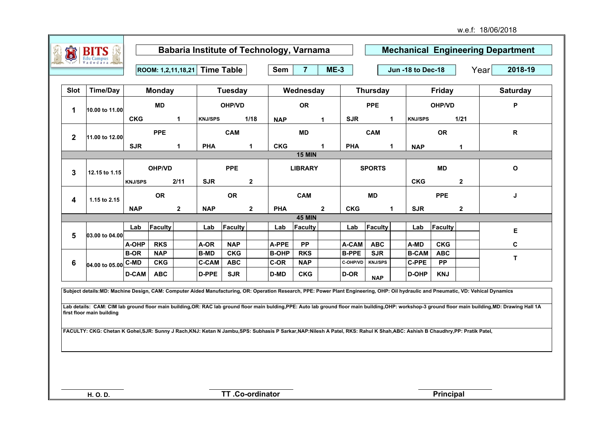|                 | <b>BITS</b><br><b>Edu Campus</b> |                |               |                      | <b>Babaria Institute of Technology, Varnama</b> |                |                |              |                |                |              |                |              |                          |               |              | <b>Mechanical Engineering Department</b> |
|-----------------|----------------------------------|----------------|---------------|----------------------|-------------------------------------------------|----------------|----------------|--------------|----------------|----------------|--------------|----------------|--------------|--------------------------|---------------|--------------|------------------------------------------|
|                 |                                  |                |               |                      | ROOM: 1,2,11,18,21 Time Table                   |                |                | Sem          | $\overline{7}$ | $ME-3$         |              |                |              | <b>Jun -18 to Dec-18</b> |               |              | Year<br>2018-19                          |
| Slot            | <b>Time/Day</b>                  |                | <b>Monday</b> |                      |                                                 | <b>Tuesday</b> |                |              | Wednesday      |                |              | Thursday       |              |                          | <b>Friday</b> |              | <b>Saturday</b>                          |
| 1               | 10.00 to 11.00                   |                | <b>MD</b>     |                      |                                                 | OHP/VD         |                |              | <b>OR</b>      |                |              | <b>PPE</b>     |              |                          | OHP/VD        |              | P                                        |
|                 |                                  | <b>CKG</b>     |               | $\mathbf 1$          | <b>KNJ/SPS</b>                                  |                | 1/18           | <b>NAP</b>   |                |                | <b>SJR</b>   |                | $\mathbf{1}$ | <b>KNJ/SPS</b>           |               | 1/21         |                                          |
| $\mathbf{2}$    | 11.00 to 12.00                   |                | <b>PPE</b>    |                      |                                                 | <b>CAM</b>     |                |              | MD             |                |              | <b>CAM</b>     |              |                          | <b>OR</b>     |              | R                                        |
|                 |                                  | <b>SJR</b>     |               | $\blacktriangleleft$ | <b>PHA</b>                                      |                | $\mathbf{1}$   | <b>CKG</b>   |                | 1              | <b>PHA</b>   |                | $\mathbf{1}$ | <b>NAP</b>               |               |              |                                          |
|                 |                                  |                |               |                      |                                                 |                |                |              | <b>15 MIN</b>  |                |              |                |              |                          |               |              |                                          |
| $\mathbf{3}$    | 12.15 to 1.15                    |                | OHP/VD        |                      |                                                 | <b>PPE</b>     |                |              | <b>LIBRARY</b> |                |              | <b>SPORTS</b>  |              |                          | <b>MD</b>     |              | $\mathbf{o}$                             |
|                 |                                  | <b>KNJ/SPS</b> |               | 2/11                 | <b>SJR</b>                                      |                | $\mathbf{2}$   |              |                |                |              |                |              | <b>CKG</b>               |               | $\mathbf{2}$ |                                          |
| 4               | 1.15 to 2.15                     |                | <b>OR</b>     |                      |                                                 | <b>OR</b>      |                |              | <b>CAM</b>     |                |              | <b>MD</b>      |              |                          | <b>PPE</b>    |              | J                                        |
|                 |                                  | <b>NAP</b>     |               | $\overline{2}$       | <b>NAP</b>                                      |                | $\overline{2}$ | <b>PHA</b>   |                | $\overline{2}$ | <b>CKG</b>   |                | 1            | <b>SJR</b>               |               | $\mathbf{2}$ |                                          |
|                 |                                  |                |               |                      |                                                 |                |                |              | <b>45 MIN</b>  |                |              |                |              |                          |               |              |                                          |
| 5               | 03.00 to 04.00                   | Lab            | Faculty       |                      | Lab                                             | Faculty        |                | Lab          | Faculty        |                | Lab          | Faculty        |              | Lab                      | Faculty       |              | Е                                        |
|                 |                                  | A-OHP          | <b>RKS</b>    |                      | A-OR                                            | <b>NAP</b>     |                | A-PPE        | <b>PP</b>      |                | A-CAM        | <b>ABC</b>     |              | A-MD                     | <b>CKG</b>    |              | C                                        |
|                 |                                  | <b>B-OR</b>    | <b>NAP</b>    |                      | <b>B-MD</b>                                     | <b>CKG</b>     |                | <b>B-OHP</b> | <b>RKS</b>     |                | <b>B-PPE</b> | <b>SJR</b>     |              | <b>B-CAM</b>             | <b>ABC</b>    |              |                                          |
| $6\phantom{1}6$ | 04.00 to 05.00 C-MD              |                | <b>CKG</b>    |                      | <b>C-CAM</b>                                    | <b>ABC</b>     |                | C-OR         | <b>NAP</b>     |                | C-OHP/VD     | <b>KNJ/SPS</b> |              | <b>C-PPE</b>             | <b>PP</b>     |              | T                                        |
|                 |                                  | <b>D-CAM</b>   | <b>ABC</b>    |                      | D-PPE                                           | <b>SJR</b>     |                | D-MD         | <b>CKG</b>     |                | D-OR         | <b>NAP</b>     |              | <b>D-OHP</b>             | <b>KNJ</b>    |              |                                          |

**Subject details:MD: Machine Design, CAM: Computer Aided Manufacturing, OR: Operation Research, PPE: Power Plant Engineering, OHP: Oil hydraulic and Pneumatic, VD: Vehical Dynamics**

Lab details: CAM: CIM lab ground floor main building,OR: RAC lab ground floor main bulding,PPE: Auto lab ground floor main building,OHP: workshop-3 ground floor main building,MD: Drawing Hall 1A **first floor main building**

**FACULTY: CKG: Chetan K Gohel,SJR: Sunny J Rach,KNJ: Ketan N Jambu,SPS: Subhasis P Sarkar,NAP:Nilesh A Patel, RKS: Rahul K Shah,ABC: Ashish B Chaudhry,PP: Pratik Patel,**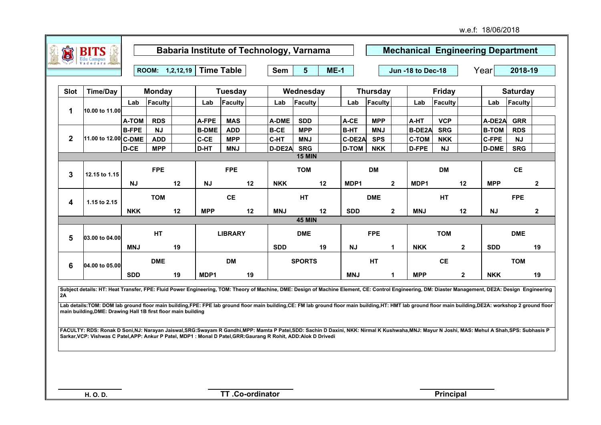| Û            | <b>BITS</b>          |              |                 |    |              | Babaria Institute of Technology, Varnama |    |            |                |        |              |                 | <b>Mechanical Engineering Department</b> |               |              |              |                 |              |
|--------------|----------------------|--------------|-----------------|----|--------------|------------------------------------------|----|------------|----------------|--------|--------------|-----------------|------------------------------------------|---------------|--------------|--------------|-----------------|--------------|
|              |                      |              |                 |    |              |                                          |    |            |                |        |              |                 |                                          |               |              |              |                 |              |
|              |                      |              | ROOM: 1,2,12,19 |    |              | <b>Time Table</b>                        |    | Sem        | 5 <sup>5</sup> | $ME-1$ |              |                 | Jun -18 to Dec-18                        |               |              | Year         | 2018-19         |              |
| <b>Slot</b>  | <b>Time/Day</b>      |              | <b>Monday</b>   |    |              | <b>Tuesday</b>                           |    |            | Wednesday      |        |              | <b>Thursday</b> |                                          | <b>Friday</b> |              |              | <b>Saturday</b> |              |
|              |                      |              |                 |    |              |                                          |    |            |                |        |              |                 |                                          |               |              |              |                 |              |
|              |                      | Lab          | Faculty         |    | Lab          | Faculty                                  |    | Lab        | Faculty        |        | Lab          | Faculty         | Lab                                      | Faculty       |              | Lab          | Faculty         |              |
| 1            | 10.00 to 11.00       | A-TOM        | <b>RDS</b>      |    | A-FPE        | <b>MAS</b>                               |    | A-DME      | <b>SDD</b>     |        | A-CE         | <b>MPP</b>      | A-HT                                     | <b>VCP</b>    |              | A-DE2A       | <b>GRR</b>      |              |
|              |                      | <b>B-FPE</b> | <b>NJ</b>       |    | <b>B-DME</b> | <b>ADD</b>                               |    | $B-CE$     | <b>MPP</b>     |        | <b>B-HT</b>  | <b>MNJ</b>      | B-DE2A                                   | <b>SRG</b>    |              | <b>B-TOM</b> | <b>RDS</b>      |              |
| $\mathbf{2}$ | 11.00 to 12.00 C-DME |              | <b>ADD</b>      |    | C-CE         | <b>MPP</b>                               |    | ∣C-HT      | <b>MNJ</b>     |        | C-DE2A       | <b>SPS</b>      | <b>C-TOM</b>                             | <b>NKK</b>    |              | <b>C-FPE</b> | <b>NJ</b>       |              |
|              |                      | D-CE         | <b>MPP</b>      |    | D-HT         | <b>MNJ</b>                               |    | D-DE2A     | <b>SRG</b>     |        | <b>D-TOM</b> | <b>NKK</b>      | D-FPE                                    | <b>NJ</b>     |              | <b>D-DME</b> | <b>SRG</b>      |              |
|              |                      |              |                 |    |              |                                          |    |            | <b>15 MIN</b>  |        |              |                 |                                          |               |              |              |                 |              |
| 3            | 12.15 to 1.15        |              | <b>FPE</b>      |    |              | <b>FPE</b>                               |    |            | <b>TOM</b>     |        |              | <b>DM</b>       |                                          | <b>DM</b>     |              |              | <b>CE</b>       |              |
|              |                      | <b>NJ</b>    |                 | 12 | <b>NJ</b>    |                                          | 12 | <b>NKK</b> |                | 12     | MDP1         | $\mathbf{2}$    | MDP1                                     |               | 12           | <b>MPP</b>   |                 | $\mathbf{2}$ |
| 4            | 1.15 to 2.15         |              | <b>TOM</b>      |    |              | <b>CE</b>                                |    |            | <b>HT</b>      |        |              | <b>DME</b>      |                                          | <b>HT</b>     |              |              | <b>FPE</b>      |              |
|              |                      | <b>NKK</b>   |                 | 12 | <b>MPP</b>   |                                          | 12 | <b>MNJ</b> |                | 12     | <b>SDD</b>   | $\mathbf{2}$    | <b>MNJ</b>                               |               | 12           | <b>NJ</b>    |                 | $\mathbf{2}$ |
|              |                      |              |                 |    |              |                                          |    |            | <b>45 MIN</b>  |        |              |                 |                                          |               |              |              |                 |              |
| 5            | 03.00 to 04.00       |              | <b>HT</b>       |    |              | <b>LIBRARY</b>                           |    |            | <b>DME</b>     |        |              | <b>FPE</b>      |                                          | <b>TOM</b>    |              |              | <b>DME</b>      |              |
|              |                      | <b>MNJ</b>   |                 | 19 |              |                                          |    | <b>SDD</b> |                | 19     | <b>NJ</b>    | 1.              | <b>NKK</b>                               |               | $\mathbf{2}$ | <b>SDD</b>   |                 | 19           |
| 6            | 04.00 to 05.00       |              | <b>DME</b>      |    |              | <b>DM</b>                                |    |            | <b>SPORTS</b>  |        |              | <b>HT</b>       |                                          | <b>CE</b>     |              |              | <b>TOM</b>      |              |
|              |                      | <b>SDD</b>   |                 | 19 | MDP1         |                                          | 19 |            |                |        | <b>MNJ</b>   | 1               | <b>MPP</b>                               |               | $\mathbf{2}$ | <b>NKK</b>   |                 | 19           |

**Subject details: HT: Heat Transfer, FPE: Fluid Power Engineering, TOM: Theory of Machine, DME: Design of Machine Element, CE: Control Engineering, DM: Diaster Management, DE2A: Design Engineering 2A**

Lab details:TOM: DOM lab ground floor main building,FPE: FPE lab ground floor main building,CE: FM lab ground floor main building,HT: HMT lab ground floor main building,DE2A: workshop 2 ground floor **main building,DME: Drawing Hall 1B first floor main building**

**FACULTY: RDS: Ronak D Soni,NJ: Narayan Jaiswal,SRG:Swayam R Gandhi,MPP: Mamta P Patel,SDD: Sachin D Daxini, NKK: Nirmal K Kushwaha,MNJ: Mayur N Joshi, MAS: Mehul A Shah,SPS: Subhasis P Sarkar,VCP: Vishwas C Patel,APP: Ankur P Patel, MDP1 : Monal D Patel,GRR:Gaurang R Rohit, ADD:Alok D Drivedi**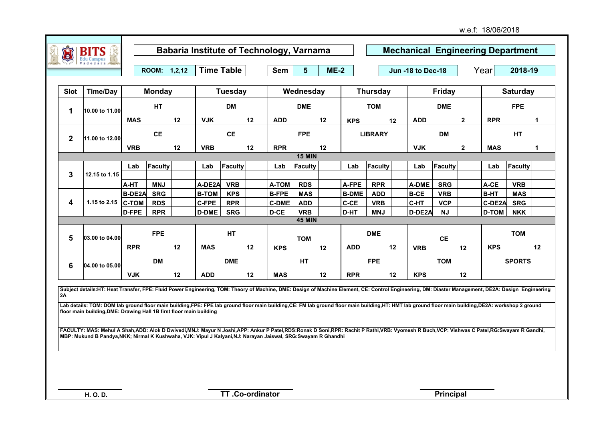| Ò              | <b>BITS</b><br>Edu Campus |               |               |    | <b>Babaria Institute of Technology, Varnama</b> |                |    |              |                |        |              |                 |                   |               |              | <b>Mechanical Engineering Department</b> |                 |    |
|----------------|---------------------------|---------------|---------------|----|-------------------------------------------------|----------------|----|--------------|----------------|--------|--------------|-----------------|-------------------|---------------|--------------|------------------------------------------|-----------------|----|
|                |                           |               | ROOM: 1,2,12  |    | <b>Time Table</b>                               |                |    | Sem          | 5 <sup>5</sup> | $ME-2$ |              |                 | Jun -18 to Dec-18 |               |              | Year                                     | 2018-19         |    |
| Slot           | <b>Time/Day</b>           |               | <b>Monday</b> |    |                                                 | <b>Tuesday</b> |    |              | Wednesday      |        |              | <b>Thursday</b> |                   | <b>Friday</b> |              |                                          | <b>Saturday</b> |    |
| 1              | 10.00 to 11.00            |               | <b>HT</b>     |    |                                                 | <b>DM</b>      |    |              | <b>DME</b>     |        |              | <b>TOM</b>      |                   | <b>DME</b>    |              |                                          | <b>FPE</b>      |    |
|                |                           | <b>MAS</b>    |               | 12 | <b>VJK</b>                                      |                | 12 | <b>ADD</b>   |                | 12     | <b>KPS</b>   | 12              | <b>ADD</b>        |               | $\mathbf{2}$ | <b>RPR</b>                               |                 | 1  |
| $\overline{2}$ | 11.00 to 12.00            |               | <b>CE</b>     |    |                                                 | <b>CE</b>      |    |              | <b>FPE</b>     |        |              | <b>LIBRARY</b>  |                   | <b>DM</b>     |              |                                          | <b>HT</b>       |    |
|                |                           | <b>VRB</b>    |               | 12 | <b>VRB</b>                                      |                | 12 | <b>RPR</b>   |                | 12     |              |                 | <b>VJK</b>        |               | $\mathbf{2}$ | <b>MAS</b>                               |                 | 1  |
|                |                           |               |               |    |                                                 |                |    |              | <b>15 MIN</b>  |        |              |                 |                   |               |              |                                          |                 |    |
|                |                           | Lab           | Faculty       |    | Lab                                             | Faculty        |    | Lab          | Faculty        |        | Lab          | Faculty         | Lab               | Faculty       |              | Lab                                      | Faculty         |    |
| 3              | 12.15 to 1.15             |               |               |    |                                                 |                |    |              |                |        |              |                 |                   |               |              |                                          |                 |    |
|                |                           | A-HT          | <b>MNJ</b>    |    | A-DE2A                                          | <b>VRB</b>     |    | <b>A-TOM</b> | <b>RDS</b>     |        | A-FPE        | <b>RPR</b>      | A-DME             | <b>SRG</b>    |              | A-CE                                     | <b>VRB</b>      |    |
|                |                           | <b>B-DE2A</b> | <b>SRG</b>    |    | <b>B-TOM</b>                                    | <b>KPS</b>     |    | <b>B-FPE</b> | <b>MAS</b>     |        | <b>B-DME</b> | <b>ADD</b>      | <b>B-CE</b>       | <b>VRB</b>    |              | <b>B-HT</b>                              | <b>MAS</b>      |    |
| 4              | 1.15 to 2.15              | $ C-TOM$      | <b>RDS</b>    |    | <b>C-FPE</b>                                    | <b>RPR</b>     |    | <b>C-DME</b> | <b>ADD</b>     |        | $C-CE$       | <b>VRB</b>      | C-HT              | <b>VCP</b>    |              | C-DE2A                                   | <b>SRG</b>      |    |
|                |                           | D-FPE         | <b>RPR</b>    |    | <b>D-DME</b>                                    | <b>SRG</b>     |    | D-CE         | <b>VRB</b>     |        | D-HT         | <b>MNJ</b>      | D-DE2A            | NJ            |              | <b>D-TOM</b>                             | <b>NKK</b>      |    |
|                |                           |               |               |    |                                                 |                |    |              | <b>45 MIN</b>  |        |              |                 |                   |               |              |                                          |                 |    |
| 5              | 03.00 to 04.00            |               | <b>FPE</b>    |    |                                                 | <b>HT</b>      |    |              | <b>TOM</b>     |        |              | <b>DME</b>      |                   | <b>CE</b>     |              |                                          | <b>TOM</b>      |    |
|                |                           | <b>RPR</b>    |               | 12 | <b>MAS</b>                                      |                | 12 | <b>KPS</b>   |                | 12     | <b>ADD</b>   | 12              | <b>VRB</b>        |               | 12           | <b>KPS</b>                               |                 | 12 |
| 6              | 04.00 to 05.00            |               | <b>DM</b>     |    |                                                 | <b>DME</b>     |    |              | <b>HT</b>      |        |              | <b>FPE</b>      |                   | <b>TOM</b>    |              |                                          | <b>SPORTS</b>   |    |
|                |                           | <b>VJK</b>    |               | 12 | <b>ADD</b>                                      |                | 12 | <b>MAS</b>   |                | 12     | <b>RPR</b>   | 12              | <b>KPS</b>        |               | 12           |                                          |                 |    |

**Subject details:HT: Heat Transfer, FPE: Fluid Power Engineering, TOM: Theory of Machine, DME: Design of Machine Element, CE: Control Engineering, DM: Diaster Management, DE2A: Design Engineering 2A**

Lab details: TOM: DOM lab ground floor main building,FPE: FPE lab ground floor main building,CE: FM lab ground floor main building,HT: HMT lab ground floor main building,DE2A: workshop 2 ground **floor main building,DME: Drawing Hall 1B first floor main building**

**FACULTY: MAS: Mehul A Shah,ADD: Alok D Dwivedi,MNJ: Mayur N Joshi,APP: Ankur P Patel,RDS:Ronak D Soni,RPR: Rachit P Rathi,VRB: Vyomesh R Buch,VCP: Vishwas C Patel,RG:Swayam R Gandhi, MBP: Mukund B Pandya,NKK; Nirmal K Kushwaha, VJK: Vipul J Kalyani,NJ: Narayan Jaiswal, SRG:Swayam R Ghandhi**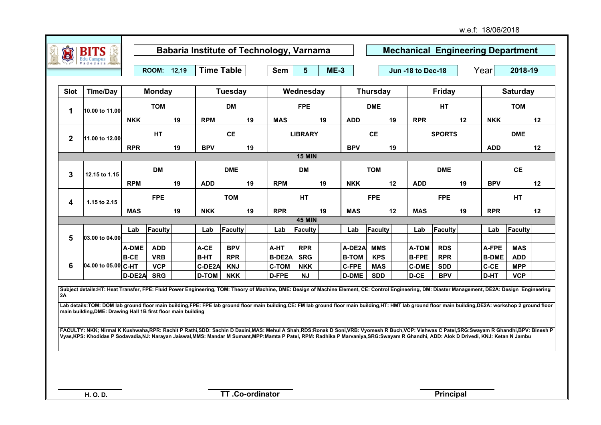| Û            | <b>BITS</b><br>Edu Campus<br>Vadodara |              |               |    |              |                   |    | <b>Babaria Institute of Technology, Varnama</b> |                |        |              |                 |    |                   |               |    | <b>Mechanical Engineering Department</b> |                 |    |
|--------------|---------------------------------------|--------------|---------------|----|--------------|-------------------|----|-------------------------------------------------|----------------|--------|--------------|-----------------|----|-------------------|---------------|----|------------------------------------------|-----------------|----|
|              |                                       |              | ROOM: 12,19   |    |              | <b>Time Table</b> |    | Sem                                             | 5 <sup>5</sup> | $ME-3$ |              |                 |    | Jun -18 to Dec-18 |               |    | Year                                     | 2018-19         |    |
| Slot         | <b>Time/Day</b>                       |              | <b>Monday</b> |    |              | Tuesday           |    |                                                 | Wednesday      |        |              | <b>Thursday</b> |    |                   | <b>Friday</b> |    |                                          | <b>Saturday</b> |    |
| 1            | 10.00 to 11.00                        |              | <b>TOM</b>    |    |              | <b>DM</b>         |    |                                                 | <b>FPE</b>     |        |              | <b>DME</b>      |    |                   | HT            |    |                                          | <b>TOM</b>      |    |
|              |                                       | <b>NKK</b>   |               | 19 | <b>RPM</b>   |                   | 19 | <b>MAS</b>                                      |                | 19     | <b>ADD</b>   |                 | 19 | <b>RPR</b>        |               | 12 | <b>NKK</b>                               |                 | 12 |
| $\mathbf{2}$ | 11.00 to 12.00                        |              | HT            |    |              | <b>CE</b>         |    |                                                 | <b>LIBRARY</b> |        |              | <b>CE</b>       |    |                   | <b>SPORTS</b> |    |                                          | <b>DME</b>      |    |
|              |                                       | <b>RPR</b>   |               | 19 | <b>BPV</b>   |                   | 19 |                                                 |                |        | <b>BPV</b>   |                 | 19 |                   |               |    | <b>ADD</b>                               |                 | 12 |
|              |                                       |              |               |    |              |                   |    |                                                 | <b>15 MIN</b>  |        |              |                 |    |                   |               |    |                                          |                 |    |
| 3            | 12.15 to 1.15                         |              | <b>DM</b>     |    |              | <b>DME</b>        |    |                                                 | <b>DM</b>      |        |              | <b>TOM</b>      |    |                   | <b>DME</b>    |    |                                          | <b>CE</b>       |    |
|              |                                       | <b>RPM</b>   |               | 19 | <b>ADD</b>   |                   | 19 | <b>RPM</b>                                      |                | 19     | <b>NKK</b>   |                 | 12 | <b>ADD</b>        |               | 19 | <b>BPV</b>                               |                 | 12 |
| 4            | 1.15 to 2.15                          |              | <b>FPE</b>    |    |              | <b>TOM</b>        |    |                                                 | <b>HT</b>      |        |              | <b>FPE</b>      |    |                   | <b>FPE</b>    |    |                                          | <b>HT</b>       |    |
|              |                                       | <b>MAS</b>   |               | 19 | <b>NKK</b>   |                   | 19 | <b>RPR</b>                                      |                | 19     | <b>MAS</b>   |                 | 12 | <b>MAS</b>        |               | 19 | <b>RPR</b>                               |                 | 12 |
|              |                                       |              |               |    |              |                   |    |                                                 | <b>45 MIN</b>  |        |              |                 |    |                   |               |    |                                          |                 |    |
|              |                                       | Lab          | Faculty       |    | Lab          | Faculty           |    | Lab                                             | Faculty        |        | Lab          | Faculty         |    | Lab               | Faculty       |    | Lab                                      | Faculty         |    |
| 5            | 03.00 to 04.00                        |              |               |    |              |                   |    |                                                 |                |        |              |                 |    |                   |               |    |                                          |                 |    |
|              |                                       | <b>A-DME</b> | <b>ADD</b>    |    | A-CE         | <b>BPV</b>        |    | A-HT                                            | <b>RPR</b>     |        | A-DE2A       | <b>MMS</b>      |    | A-TOM             | <b>RDS</b>    |    | A-FPE                                    | <b>MAS</b>      |    |
|              |                                       | $B-CE$       | <b>VRB</b>    |    | <b>B-HT</b>  | <b>RPR</b>        |    | <b>B-DE2A</b>                                   | <b>SRG</b>     |        | <b>B-TOM</b> | <b>KPS</b>      |    | <b>B-FPE</b>      | <b>RPR</b>    |    | <b>B-DME</b>                             | <b>ADD</b>      |    |
| 6            | 04.00 to 05.00 C-HT                   |              | <b>VCP</b>    |    | C-DE2A       | <b>KNJ</b>        |    | <b>C-TOM</b>                                    | <b>NKK</b>     |        | <b>C-FPE</b> | <b>MAS</b>      |    | <b>C-DME</b>      | <b>SDD</b>    |    | C-CE                                     | <b>MPP</b>      |    |
|              |                                       | D-DE2A       | <b>SRG</b>    |    | <b>D-TOM</b> | <b>NKK</b>        |    | D-FPE                                           | <b>NJ</b>      |        | <b>D-DME</b> | <b>SDD</b>      |    | D-CE              | <b>BPV</b>    |    | D-HT                                     | <b>VCP</b>      |    |

**Subject details:HT: Heat Transfer, FPE: Fluid Power Engineering, TOM: Theory of Machine, DME: Design of Machine Element, CE: Control Engineering, DM: Diaster Management, DE2A: Design Engineering 2A**

Lab details:TOM: DOM lab ground floor main building,FPE: FPE lab ground floor main building,CE: FM lab ground floor main building,HT: HMT lab ground floor main building,DE2A: workshop 2 ground floor **main building,DME: Drawing Hall 1B first floor main building**

**FACULTY: NKK; Nirmal K Kushwaha,RPR: Rachit P Rathi,SDD: Sachin D Daxini,MAS: Mehul A Shah,RDS:Ronak D Soni,VRB: Vyomesh R Buch,VCP: Vishwas C Patel,SRG:Swayam R Ghandhi,BPV: Binesh P Vyas,KPS: Khodidas P Sodavadia,NJ: Narayan Jaiswal,MMS: Mandar M Sumant,MPP:Mamta P Patel, RPM: Radhika P Marvaniya,SRG:Swayam R Ghandhi, ADD: Alok D Drivedi, KNJ: Ketan N Jambu**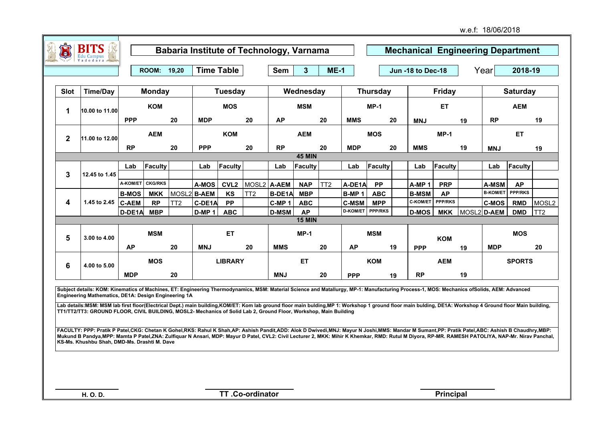w.e.f: 18/06/2018

|              | <b>BITS</b><br>Edu Campus<br>Vadodara |              |                |                 |                   |                   |                    |                   | <b>Babaria Institute of Technology, Varnama</b> |                 |                   |                              |    | <b>Mechanical Engineering Department</b> |                |    |                 |                 |                   |
|--------------|---------------------------------------|--------------|----------------|-----------------|-------------------|-------------------|--------------------|-------------------|-------------------------------------------------|-----------------|-------------------|------------------------------|----|------------------------------------------|----------------|----|-----------------|-----------------|-------------------|
|              |                                       |              | ROOM: 19,20    |                 |                   | <b>Time Table</b> |                    | Sem               | $\mathbf{3}$                                    | $ME-1$          |                   |                              |    | Jun -18 to Dec-18                        |                |    | Year            | 2018-19         |                   |
|              |                                       |              |                |                 |                   |                   |                    |                   |                                                 |                 |                   |                              |    |                                          |                |    |                 |                 |                   |
| <b>Slot</b>  | <b>Time/Day</b>                       |              | <b>Monday</b>  |                 |                   | <b>Tuesday</b>    |                    |                   | Wednesday                                       |                 |                   | Thursday                     |    |                                          | <b>Friday</b>  |    |                 | <b>Saturday</b> |                   |
|              | 10.00 to 11.00                        |              | <b>KOM</b>     |                 |                   | <b>MOS</b>        |                    |                   | <b>MSM</b>                                      |                 |                   | $MP-1$                       |    |                                          | ET             |    |                 | <b>AEM</b>      |                   |
|              |                                       | <b>PPP</b>   |                | 20              | <b>MDP</b>        |                   | 20                 | <b>AP</b>         |                                                 | 20              | <b>MMS</b>        |                              | 20 | <b>MNJ</b>                               |                | 19 | <b>RP</b>       |                 | 19                |
| $\mathbf{2}$ | 11.00 to 12.00                        |              | <b>AEM</b>     |                 |                   | <b>KOM</b>        |                    |                   | <b>AEM</b>                                      |                 |                   | <b>MOS</b>                   |    |                                          | $MP-1$         |    |                 | <b>ET</b>       |                   |
|              |                                       | <b>RP</b>    |                | 20              | <b>PPP</b>        |                   | 20                 | <b>RP</b>         |                                                 | 20              | <b>MDP</b>        |                              | 20 | <b>MMS</b>                               |                | 19 | <b>MNJ</b>      |                 | 19                |
|              |                                       |              |                |                 |                   |                   |                    |                   | <b>45 MIN</b>                                   |                 |                   |                              |    |                                          |                |    |                 |                 |                   |
|              |                                       | Lab          | Faculty        |                 | Lab               | Faculty           |                    | Lab               | Faculty                                         |                 | Lab               | Faculty                      |    | Lab                                      | Faculty        |    | Lab             | Faculty         |                   |
| $\mathbf{3}$ | 12.45 to 1.45                         |              |                |                 |                   |                   |                    |                   |                                                 |                 |                   |                              |    |                                          |                |    |                 |                 |                   |
|              |                                       | A-KOM/ET     | <b>CKG/RKS</b> |                 | A-MOS             | <b>CVL2</b>       | MOSL2 <b>A-AEM</b> |                   | <b>NAP</b>                                      | TT <sub>2</sub> | A-DE1A            | <b>PP</b>                    |    | A-MP1                                    | <b>PRP</b>     |    | A-MSM           | <b>AP</b>       |                   |
|              |                                       | <b>B-MOS</b> | <b>MKK</b>     |                 | MOSL2 B-AEM       | KS                | TT <sub>2</sub>    | <b>B-DE1A</b>     | <b>MBP</b>                                      |                 | B-MP <sub>1</sub> | <b>ABC</b>                   |    | <b>B-MSM</b>                             | <b>AP</b>      |    | <b>B-KOM/ET</b> | <b>PPP/RKS</b>  |                   |
| 4            | 1.45 to 2.45                          | <b>C-AEM</b> | <b>RP</b>      | TT <sub>2</sub> | C-DE1A            | <b>PP</b>         |                    | C-MP <sub>1</sub> | <b>ABC</b>                                      |                 | <b>C-MSM</b>      | <b>MPP</b><br><b>PPP/RKS</b> |    | <b>C-KOM/ET</b>                          | <b>PPP/RKS</b> |    | <b>C-MOS</b>    | <b>RMD</b>      | MOSL <sub>2</sub> |
|              |                                       | D-DE1A       | <b>MBP</b>     |                 | D-MP <sub>1</sub> | <b>ABC</b>        |                    | <b>D-MSM</b>      | <b>AP</b><br><b>15 MIN</b>                      |                 | <b>D-KOM/ET</b>   |                              |    | <b>D-MOS</b>                             | <b>MKK</b>     |    | MOSL2 D-AEM     | <b>DMD</b>      | TT2               |
|              |                                       |              |                |                 |                   |                   |                    |                   |                                                 |                 |                   |                              |    |                                          |                |    |                 |                 |                   |
| 5            | 3.00 to 4.00                          |              | <b>MSM</b>     |                 |                   | <b>ET</b>         |                    |                   | $MP-1$                                          |                 |                   | <b>MSM</b>                   |    |                                          | <b>KOM</b>     |    |                 | <b>MOS</b>      |                   |
|              |                                       | <b>AP</b>    |                | 20              | <b>MNJ</b>        |                   | 20                 | <b>MMS</b>        |                                                 | 20              | <b>AP</b>         |                              | 19 | <b>PPP</b>                               |                | 19 | <b>MDP</b>      |                 | 20                |
| 6            | 4.00 to 5.00                          |              | <b>MOS</b>     |                 |                   | <b>LIBRARY</b>    |                    |                   | ET.                                             |                 |                   | <b>KOM</b>                   |    |                                          | <b>AEM</b>     |    |                 | <b>SPORTS</b>   |                   |
|              |                                       | <b>MDP</b>   |                | 20              |                   |                   |                    | <b>MNJ</b>        |                                                 | 20              | <b>PPP</b>        |                              | 19 | <b>RP</b>                                |                | 19 |                 |                 |                   |

**Subject details: KOM: Kinematics of Machines, ET: Engineering Thermodynamics, MSM: Material Science and Matallurgy, MP-1: Manufacturing Process-1, MOS: Mechanics ofSolids, AEM: Advanced Engineering Mathematics, DE1A: Design Engineering 1A**

Lab details:MSM: MSM lab first floor(Electrical Dept.) main building,KOM/ET: Kom lab ground floor main bulding,MP 1: Workshop 1 ground floor main bulding, DE1A: Workshop 4 Ground floor Main building, **TT1/TT2/TT3: GROUND FLOOR, CIVIL BUILDING, MOSL2- Mechanics of Solid Lab 2, Ground Floor, Workshop, Main Building**

FACULTY: PPP: Pratik P Patel,CKG: Chetan K Gohel,RKS: Rahul K Shah,AP: Ashish Pandit,ADD: Alok D Dwivedi,MNJ: Mayur N Joshi,MMS: Mandar M Sumant,PP: Pratik Patel,ABC: Ashish B Chaudhry,MBP: **Mukund B Pandya,MPP: Mamta P Patel,ZNA: Zulfiquar N Ansari, MDP: Mayur D Patel, CVL2: Civil Lecturer 2, MKK: Mihir K Khemkar, RMD: Rutul M Diyora, RP-MR. RAMESH PATOLIYA, NAP-Mr. Nirav Panchal, KS-Ms. Khushbu Shah, DMD-Ms. Drashti M. Dave**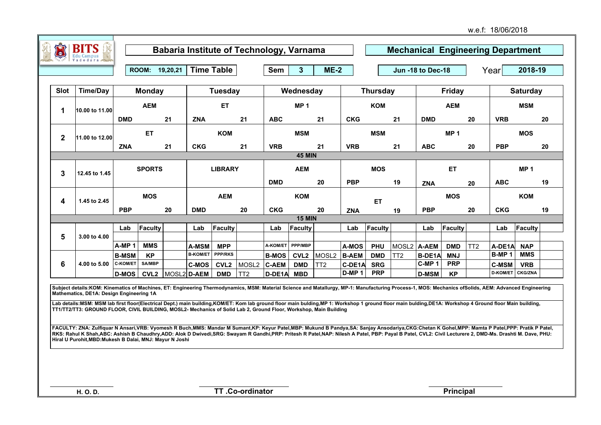|              | du Campus       |                   |                  |    |                   |                |       |              |                  |                   |              |                 |                    |                   |                 |     |                   |                 |    |
|--------------|-----------------|-------------------|------------------|----|-------------------|----------------|-------|--------------|------------------|-------------------|--------------|-----------------|--------------------|-------------------|-----------------|-----|-------------------|-----------------|----|
|              |                 |                   | ROOM: 19,20,21   |    | <b>Time Table</b> |                |       | Sem          | 3                | $ME-2$            |              |                 |                    | Jun -18 to Dec-18 |                 |     | Year              | 2018-19         |    |
| <b>Slot</b>  | <b>Time/Day</b> |                   | <b>Monday</b>    |    |                   | <b>Tuesday</b> |       |              | Wednesday        |                   |              | <b>Thursday</b> |                    |                   | <b>Friday</b>   |     |                   | <b>Saturday</b> |    |
| 1            | 10.00 to 11.00  |                   | <b>AEM</b>       |    |                   | <b>ET</b>      |       |              | MP <sub>1</sub>  |                   |              | <b>KOM</b>      |                    |                   | <b>AEM</b>      |     |                   | <b>MSM</b>      |    |
|              |                 | <b>DMD</b>        |                  | 21 | <b>ZNA</b>        |                | 21    | <b>ABC</b>   |                  | 21                | <b>CKG</b>   |                 | 21                 | <b>DMD</b>        |                 | 20  | <b>VRB</b>        |                 | 20 |
| $\mathbf{2}$ | 11.00 to 12.00  |                   | <b>ET</b>        |    |                   | <b>KOM</b>     |       |              | <b>MSM</b>       |                   |              | <b>MSM</b>      |                    |                   | MP <sub>1</sub> |     |                   | <b>MOS</b>      |    |
|              |                 | <b>ZNA</b>        |                  | 21 | <b>CKG</b>        |                | 21    | <b>VRB</b>   |                  | 21                | <b>VRB</b>   |                 | 21                 | <b>ABC</b>        |                 | 20  | <b>PBP</b>        |                 | 20 |
|              |                 |                   |                  |    |                   |                |       |              | <b>45 MIN</b>    |                   |              |                 |                    |                   |                 |     |                   |                 |    |
| 3            | 12.45 to 1.45   |                   | <b>SPORTS</b>    |    |                   | <b>LIBRARY</b> |       |              | <b>AEM</b>       |                   |              | <b>MOS</b>      |                    |                   | <b>ET</b>       |     |                   | MP <sub>1</sub> |    |
|              |                 |                   |                  |    |                   |                |       | <b>DMD</b>   |                  | 20                | <b>PBP</b>   |                 | 19                 | <b>ZNA</b>        |                 | 20  | <b>ABC</b>        |                 | 19 |
| 4            | 1.45 to 2.45    |                   | <b>MOS</b>       |    |                   | <b>AEM</b>     |       |              | <b>KOM</b>       |                   |              | ET.             |                    |                   | <b>MOS</b>      |     |                   | <b>KOM</b>      |    |
|              |                 | <b>PBP</b>        |                  | 20 | <b>DMD</b>        |                | 20    | <b>CKG</b>   |                  | 20                | <b>ZNA</b>   |                 | 19                 | <b>PBP</b>        |                 | 20  | <b>CKG</b>        |                 | 19 |
|              |                 |                   |                  |    |                   |                |       |              | <b>15 MIN</b>    |                   |              |                 |                    |                   |                 |     |                   |                 |    |
| 5            | 3.00 to 4.00    | Lab               | Faculty          |    | Lab               | Faculty        |       | Lab          | Faculty          |                   | Lab          | Faculty         |                    | Lab               | Faculty         |     | Lab               | Faculty         |    |
|              |                 | A-MP <sub>1</sub> | <b>MMS</b>       |    | <b>A-MSM</b>      | <b>MPP</b>     |       | A-KOM/ET     | PPP/MBP          |                   | <b>A-MOS</b> | <b>PHU</b>      | MOSL2 <b>A-AEM</b> |                   | <b>DMD</b>      | TT2 | A-DE1A            | <b>NAP</b>      |    |
|              |                 | <b>B-MSM</b>      | <b>KP</b>        |    | <b>B-KOM/ET</b>   | <b>PPP/RKS</b> |       | <b>B-MOS</b> | CVL <sub>2</sub> | MOSL <sub>2</sub> | <b>B-AEM</b> | <b>DMD</b>      | TT <sub>2</sub>    | <b>B-DE1A</b>     | <b>MNJ</b>      |     | B-MP <sub>1</sub> | <b>MMS</b>      |    |
| 6            | 4.00 to 5.00    | C-KOM/ET          | <b>SA/MBP</b>    |    | <b>C-MOS</b>      | <b>CVL2</b>    | MOSL2 | <b>C-AEM</b> | <b>DMD</b>       | TT <sub>2</sub>   | C-DE1A       | <b>SRG</b>      |                    | C-MP <sub>1</sub> | <b>PRP</b>      |     | <b>C-MSM</b>      | <b>VRB</b>      |    |
|              |                 | <b>D-MOS</b>      | CVL <sub>2</sub> |    | MOSL2 D-AEM       | <b>DMD</b>     | TT2   | D-DE1A       | <b>MBD</b>       |                   | $D-MP1$      | <b>PRP</b>      |                    | <b>D-MSM</b>      | <b>KP</b>       |     | <b>D-KOM/ET</b>   | <b>CKG/ZNA</b>  |    |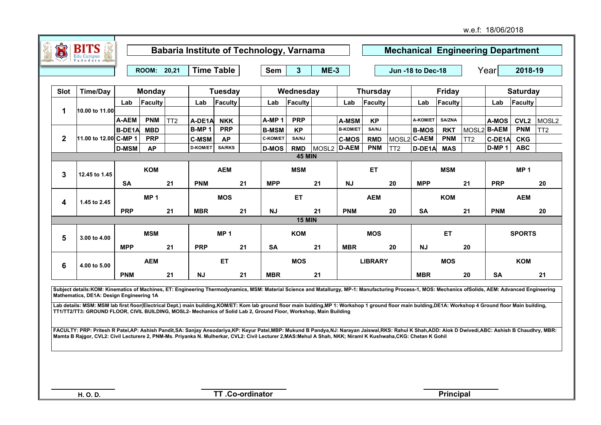|             |                                                                                                                                                                                                                                                                                                                                                                                                                                                                                                                                                                                     |               | ROOM: 20,21     |                 |                 | <b>Time Table</b> |    | <b>Sem</b>        | 3 <sup>5</sup> | $ME-3$            |                 |                 |                 | Jun -18 to Dec-18 |               |                 | Year              | 2018-19          |                   |
|-------------|-------------------------------------------------------------------------------------------------------------------------------------------------------------------------------------------------------------------------------------------------------------------------------------------------------------------------------------------------------------------------------------------------------------------------------------------------------------------------------------------------------------------------------------------------------------------------------------|---------------|-----------------|-----------------|-----------------|-------------------|----|-------------------|----------------|-------------------|-----------------|-----------------|-----------------|-------------------|---------------|-----------------|-------------------|------------------|-------------------|
| <b>Slot</b> | <b>Time/Day</b>                                                                                                                                                                                                                                                                                                                                                                                                                                                                                                                                                                     |               | <b>Monday</b>   |                 |                 | Tuesday           |    |                   | Wednesday      |                   |                 | <b>Thursday</b> |                 |                   | <b>Friday</b> |                 |                   | <b>Saturday</b>  |                   |
|             |                                                                                                                                                                                                                                                                                                                                                                                                                                                                                                                                                                                     | Lab           | Faculty         |                 | Lab             | Faculty           |    | Lab               | Faculty        |                   | Lab             | Faculty         |                 | Lab               | Faculty       |                 | Lab               | Faculty          |                   |
| 1           | 10.00 to 11.00                                                                                                                                                                                                                                                                                                                                                                                                                                                                                                                                                                      |               |                 |                 |                 |                   |    |                   |                |                   |                 |                 |                 |                   |               |                 |                   |                  |                   |
|             |                                                                                                                                                                                                                                                                                                                                                                                                                                                                                                                                                                                     | A-AEM         | <b>PNM</b>      | TT <sub>2</sub> | A-DE1A          | <b>NKK</b>        |    | A-MP <sub>1</sub> | <b>PRP</b>     |                   | A-MSM           | <b>KP</b>       |                 | A-KOM/ET          | SA/ZNA        |                 | A-MOS             | CVL <sub>2</sub> | MOSL <sub>2</sub> |
|             |                                                                                                                                                                                                                                                                                                                                                                                                                                                                                                                                                                                     | <b>B-DE1A</b> | <b>MBD</b>      |                 | <b>B-MP1</b>    | <b>PRP</b>        |    | <b>B-MSM</b>      | <b>KP</b>      |                   | <b>B-KOM/ET</b> | SA/NJ           |                 | <b>B-MOS</b>      | <b>RKT</b>    |                 | MOSL2 B-AEM       | <b>PNM</b>       | TT2               |
| $\mathbf 2$ | 11.00 to 12.00 C-MP 1                                                                                                                                                                                                                                                                                                                                                                                                                                                                                                                                                               |               | <b>PRP</b>      |                 | <b>C-MSM</b>    | <b>AP</b>         |    | <b>C-KOM/ET</b>   | SA/NJ          |                   | <b>C-MOS</b>    | <b>RMD</b>      | MOSL2 C-AEM     |                   | <b>PNM</b>    | TT <sub>2</sub> | C-DE1A            | <b>CKG</b>       |                   |
|             |                                                                                                                                                                                                                                                                                                                                                                                                                                                                                                                                                                                     | <b>D-MSM</b>  | <b>AP</b>       |                 | <b>D-KOM/ET</b> | <b>SA/RKS</b>     |    | <b>D-MOS</b>      | <b>RMD</b>     | MOSL <sub>2</sub> | <b>D-AEM</b>    | <b>PNM</b>      | TT <sub>2</sub> | D-DE1A            | <b>MAS</b>    |                 | D-MP <sub>1</sub> | <b>ABC</b>       |                   |
|             |                                                                                                                                                                                                                                                                                                                                                                                                                                                                                                                                                                                     |               |                 |                 |                 |                   |    |                   | <b>45 MIN</b>  |                   |                 |                 |                 |                   |               |                 |                   |                  |                   |
| 3           | 12.45 to 1.45                                                                                                                                                                                                                                                                                                                                                                                                                                                                                                                                                                       |               | <b>KOM</b>      |                 |                 | <b>AEM</b>        |    |                   | <b>MSM</b>     |                   |                 | <b>ET</b>       |                 |                   | <b>MSM</b>    |                 |                   | MP <sub>1</sub>  |                   |
|             |                                                                                                                                                                                                                                                                                                                                                                                                                                                                                                                                                                                     | <b>SA</b>     |                 | 21              | <b>PNM</b>      |                   | 21 | <b>MPP</b>        |                | 21                | <b>NJ</b>       |                 | 20              | <b>MPP</b>        |               | 21              | <b>PRP</b>        |                  | 20                |
| 4           | 1.45 to 2.45                                                                                                                                                                                                                                                                                                                                                                                                                                                                                                                                                                        |               | MP <sub>1</sub> |                 |                 | <b>MOS</b>        |    |                   | <b>ET</b>      |                   |                 | <b>AEM</b>      |                 |                   | <b>KOM</b>    |                 |                   | <b>AEM</b>       |                   |
|             |                                                                                                                                                                                                                                                                                                                                                                                                                                                                                                                                                                                     | <b>PRP</b>    |                 | 21              | <b>MBR</b>      |                   | 21 | <b>NJ</b>         |                | 21                | <b>PNM</b>      |                 | 20              | <b>SA</b>         |               | 21              | <b>PNM</b>        |                  | 20                |
|             |                                                                                                                                                                                                                                                                                                                                                                                                                                                                                                                                                                                     |               |                 |                 |                 |                   |    |                   | <b>15 MIN</b>  |                   |                 |                 |                 |                   |               |                 |                   |                  |                   |
| 5           | 3.00 to 4.00                                                                                                                                                                                                                                                                                                                                                                                                                                                                                                                                                                        |               | <b>MSM</b>      |                 |                 | MP <sub>1</sub>   |    |                   | <b>KOM</b>     |                   |                 | <b>MOS</b>      |                 |                   | <b>ET</b>     |                 |                   | <b>SPORTS</b>    |                   |
|             |                                                                                                                                                                                                                                                                                                                                                                                                                                                                                                                                                                                     | <b>MPP</b>    |                 | 21              | <b>PRP</b>      |                   | 21 | <b>SA</b>         |                | 21                | <b>MBR</b>      |                 | 20              | <b>NJ</b>         |               | 20              |                   |                  |                   |
| 6           | 4.00 to 5.00                                                                                                                                                                                                                                                                                                                                                                                                                                                                                                                                                                        |               | <b>AEM</b>      |                 |                 | <b>ET</b>         |    |                   | <b>MOS</b>     |                   |                 | <b>LIBRARY</b>  |                 |                   | <b>MOS</b>    |                 |                   | <b>KOM</b>       |                   |
|             |                                                                                                                                                                                                                                                                                                                                                                                                                                                                                                                                                                                     | <b>PNM</b>    |                 | 21              | <b>NJ</b>       |                   | 21 | <b>MBR</b>        |                | 21                |                 |                 |                 | <b>MBR</b>        |               | 20              | <b>SA</b>         |                  | 21                |
|             | Subject details:KOM: Kinematics of Machines, ET: Engineering Thermodynamics, MSM: Material Science and Matallurgy, MP-1: Manufacturing Process-1, MOS: Mechanics ofSolids, AEM: Advanced Engineering<br>Mathematics, DE1A: Design Engineering 1A<br>Lab details: MSM: MSM lab first floor(Electrical Dept.) main building, KOM/ET: Kom lab ground floor main bulding, MP 1: Workshop 1 ground floor main bulding, DE1A: Workshop 4 Ground floor Main building,<br>TT1/TT2/TT3: GROUND FLOOR, CIVIL BUILDING, MOSL2- Mechanics of Solid Lab 2, Ground Floor, Workshop, Main Building |               |                 |                 |                 |                   |    |                   |                |                   |                 |                 |                 |                   |               |                 |                   |                  |                   |

**FACULTY: PRP: Pritesh R Patel,AP: Ashish Pandit,SA: Sanjay Ansodariya,KP: Keyur Patel,MBP: Mukund B Pandya,NJ: Narayan Jaiswal,RKS: Rahul K Shah,ADD: Alok D Dwivedi,ABC: Ashish B Chaudhry, MBR: Mamta B Rajgor, CVL2: Civil Lecturere 2, PNM-Ms. Priyanka N. Mulherkar, CVL2: Civil Lecturer 2,MAS:Mehul A Shah, NKK; Niraml K Kushwaha,CKG: Chetan K Gohil**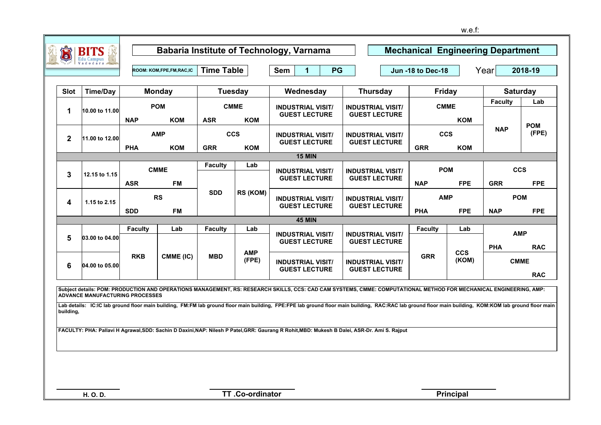| <b>D</b>     | <b>Edu Campus</b>                      |                |                          |                   |                           | Babaria Institute of Technology, Varnama                                                                                                                                                                                                                                                                                                                                                                                                                                                                                     |                                                  |                          |                           | <b>Mechanical Engineering Department</b> |                     |
|--------------|----------------------------------------|----------------|--------------------------|-------------------|---------------------------|------------------------------------------------------------------------------------------------------------------------------------------------------------------------------------------------------------------------------------------------------------------------------------------------------------------------------------------------------------------------------------------------------------------------------------------------------------------------------------------------------------------------------|--------------------------------------------------|--------------------------|---------------------------|------------------------------------------|---------------------|
|              |                                        |                | ROOM: KOM,FPE,FM,RAC,IC  | <b>Time Table</b> |                           | Sem<br>$\overline{1}$<br>PG                                                                                                                                                                                                                                                                                                                                                                                                                                                                                                  |                                                  | Jun -18 to Dec-18        |                           | Year                                     | 2018-19             |
| <b>Slot</b>  | <b>Time/Day</b>                        |                | <b>Monday</b>            | <b>Tuesday</b>    |                           | Wednesday                                                                                                                                                                                                                                                                                                                                                                                                                                                                                                                    | <b>Thursday</b>                                  | <b>Friday</b>            |                           | <b>Saturday</b>                          |                     |
| 1            | 10.00 to 11.00                         | <b>NAP</b>     | <b>POM</b><br><b>KOM</b> | <b>ASR</b>        | <b>CMME</b><br><b>KOM</b> | <b>INDUSTRIAL VISIT/</b><br><b>GUEST LECTURE</b>                                                                                                                                                                                                                                                                                                                                                                                                                                                                             | <b>INDUSTRIAL VISIT/</b><br><b>GUEST LECTURE</b> |                          | <b>CMME</b><br><b>KOM</b> | <b>Faculty</b>                           | Lab                 |
| $\mathbf{2}$ | 11.00 to 12.00                         | <b>PHA</b>     | <b>AMP</b><br><b>KOM</b> | <b>GRR</b>        | <b>CCS</b><br><b>KOM</b>  | <b>INDUSTRIAL VISIT/</b><br><b>GUEST LECTURE</b>                                                                                                                                                                                                                                                                                                                                                                                                                                                                             | <b>INDUSTRIAL VISIT/</b><br><b>GUEST LECTURE</b> | <b>CCS</b><br><b>GRR</b> | <b>KOM</b>                | <b>NAP</b>                               | <b>POM</b><br>(FPE) |
|              |                                        |                |                          |                   |                           | <b>15 MIN</b>                                                                                                                                                                                                                                                                                                                                                                                                                                                                                                                |                                                  |                          |                           |                                          |                     |
| 3            | 12.15 to 1.15                          |                | <b>CMME</b>              | <b>Faculty</b>    | Lab                       | <b>INDUSTRIAL VISIT/</b><br><b>GUEST LECTURE</b>                                                                                                                                                                                                                                                                                                                                                                                                                                                                             | <b>INDUSTRIAL VISIT/</b><br><b>GUEST LECTURE</b> | <b>POM</b>               |                           | <b>CCS</b>                               |                     |
|              | 4<br>1.15 to 2.15                      | <b>ASR</b>     | <b>FM</b>                | <b>SDD</b>        | RS (KOM)                  |                                                                                                                                                                                                                                                                                                                                                                                                                                                                                                                              |                                                  | <b>NAP</b>               | <b>FPE</b>                | <b>GRR</b>                               | <b>FPE</b>          |
|              | <b>SDD</b>                             |                | <b>RS</b><br><b>FM</b>   |                   |                           | <b>INDUSTRIAL VISIT/</b><br><b>GUEST LECTURE</b>                                                                                                                                                                                                                                                                                                                                                                                                                                                                             | <b>INDUSTRIAL VISIT/</b><br><b>GUEST LECTURE</b> | <b>AMP</b><br><b>PHA</b> | <b>FPE</b>                | <b>POM</b><br><b>NAP</b>                 | <b>FPE</b>          |
|              |                                        |                |                          |                   |                           | <b>45 MIN</b>                                                                                                                                                                                                                                                                                                                                                                                                                                                                                                                |                                                  |                          |                           |                                          |                     |
|              |                                        | <b>Faculty</b> | Lab                      | <b>Faculty</b>    | Lab                       |                                                                                                                                                                                                                                                                                                                                                                                                                                                                                                                              |                                                  | <b>Faculty</b>           | Lab                       |                                          |                     |
| 5            | 03.00 to 04.00                         |                |                          |                   |                           | <b>INDUSTRIAL VISIT/</b><br><b>GUEST LECTURE</b>                                                                                                                                                                                                                                                                                                                                                                                                                                                                             | <b>INDUSTRIAL VISIT/</b><br><b>GUEST LECTURE</b> |                          |                           | <b>AMP</b><br><b>PHA</b>                 | <b>RAC</b>          |
| 6            | 04.00 to 05.00                         | <b>RKB</b>     | CMME (IC)                | <b>MBD</b>        | <b>AMP</b><br>(FPE)       | <b>INDUSTRIAL VISIT/</b><br><b>GUEST LECTURE</b>                                                                                                                                                                                                                                                                                                                                                                                                                                                                             | <b>INDUSTRIAL VISIT/</b><br><b>GUEST LECTURE</b> | <b>GRR</b>               | <b>CCS</b><br>(KOM)       | <b>CMME</b>                              | <b>RAC</b>          |
| building,    | <b>ADVANCE MANUFACTURING PROCESSES</b> |                |                          |                   |                           | Subject details: POM: PRODUCTION AND OPERATIONS MANAGEMENT, RS: RESEARCH SKILLS, CCS: CAD CAM SYSTEMS, CMME: COMPUTATIONAL METHOD FOR MECHANICAL ENGINEERING, AMP:<br>Lab details: IC:IC lab ground floor main building, FM:FM lab ground floor main building, FPE:FPE lab ground floor main building, RAC:RAC lab ground floor main building, KOM:KOM lab ground floor main<br>FACULTY: PHA: Pallavi H Agrawal, SDD: Sachin D Daxini, NAP: Nilesh P Patel, GRR: Gaurang R Rohit, MBD: Mukesh B Dalei, ASR-Dr. Ami S. Rajput |                                                  |                          |                           |                                          |                     |
|              | H. O. D.                               |                |                          |                   | TT.Co-ordinator           |                                                                                                                                                                                                                                                                                                                                                                                                                                                                                                                              |                                                  |                          | <b>Principal</b>          |                                          |                     |